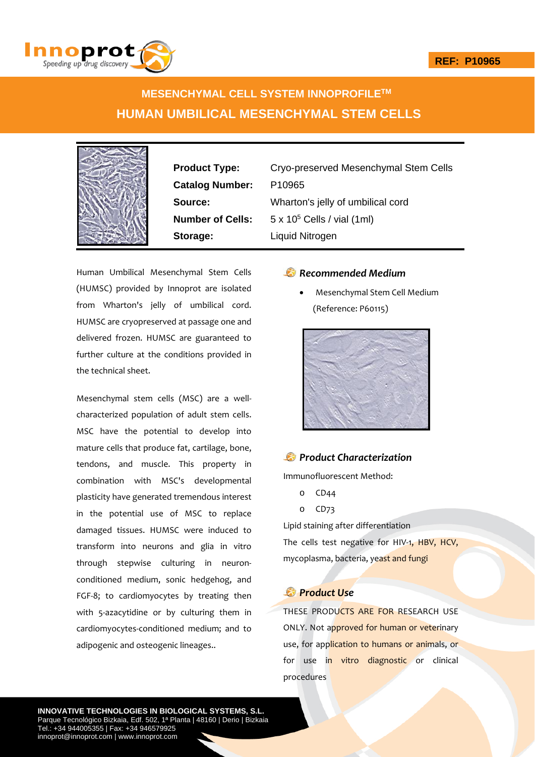

# **MESENCHYMAL CELL SYSTEM INNOPROFILETM HUMAN UMBILICAL MESENCHYMAL STEM CELLS**



**Catalog Number:** P10965 **Storage:** Liquid Nitrogen

**Product Type:** Cryo-preserved Mesenchymal Stem Cells **Source:** Wharton's jelly of umbilical cord **Number of Cells:** 5 x 10<sup>5</sup> Cells / vial (1ml)

Human Umbilical Mesenchymal Stem Cells (HUMSC) provided by Innoprot are isolated from Wharton's jelly of umbilical cord. HUMSC are cryopreserved at passage one and delivered frozen. HUMSC are guaranteed to further culture at the conditions provided in the technical sheet.

Mesenchymal stem cells (MSC) are a well‐ characterized population of adult stem cells. MSC have the potential to develop into mature cells that produce fat, cartilage, bone, tendons, and muscle. This property in combination with MSC's developmental plasticity have generated tremendous interest in the potential use of MSC to replace damaged tissues. HUMSC were induced to transform into neurons and glia in vitro through stepwise culturing in neuron‐ conditioned medium, sonic hedgehog, and FGF‐8; to cardiomyocytes by treating then with 5-azacytidine or by culturing them in cardiomyocytes‐conditioned medium; and to adipogenic and osteogenic lineages..

# *Recommended Medium*

 Mesenchymal Stem Cell Medium (Reference: P60115)



## *Product Characterization*

Immunofluorescent Method:

- o CD44
- o CD73

Lipid staining after differentiation

The cells test negative for HIV-1, HBV, HCV, mycoplasma, bacteria, yeast and fungi

### *Product Use*

THESE PRODUCTS ARE FOR RESEARCH USE ONLY. Not approved for human or veterinary use, for application to humans or animals, or for use in vitro diagnostic or clinical procedures

**INNOVATIVE TECHNOLOGIES IN BIOLOGICAL SYSTEMS, S.L.** Parque Tecnológico Bizkaia, Edf. 502, 1ª Planta | 48160 | Derio | Bizkaia Tel.: +34 944005355 | Fax: +34 946579925 innoprot@innoprot.com | www.innoprot.com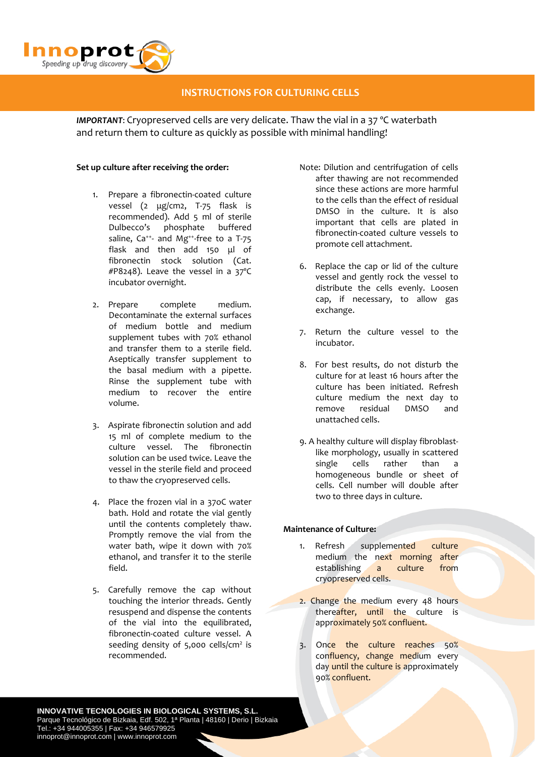

# **INSTRUCTIONS FOR CULTURING CELLS**

*IMPORTANT*: Cryopreserved cells are very delicate. Thaw the vial in a 37 ºC waterbath and return them to culture as quickly as possible with minimal handling!

#### **Set up culture after receiving the order:**

- 1. Prepare a fibronectin‐coated culture vessel (2 μg/cm2, T-75 flask is recommended). Add 5 ml of sterile Dulbecco's phosphate buffered saline,  $Ca^{++}$  and Mg<sup>++</sup>-free to a T-75 flask and then add 150 μl of fibronectin stock solution (Cat. #P8248). Leave the vessel in a 37ºC incubator overnight.
- 2. Prepare complete medium. Decontaminate the external surfaces of medium bottle and medium supplement tubes with 70% ethanol and transfer them to a sterile field. Aseptically transfer supplement to the basal medium with a pipette. Rinse the supplement tube with medium to recover the entire volume.
- 3. Aspirate fibronectin solution and add 15 ml of complete medium to the culture vessel. The fibronectin solution can be used twice. Leave the vessel in the sterile field and proceed to thaw the cryopreserved cells.
- 4. Place the frozen vial in a 37oC water bath. Hold and rotate the vial gently until the contents completely thaw. Promptly remove the vial from the water bath, wipe it down with 70% ethanol, and transfer it to the sterile field.
- 5. Carefully remove the cap without touching the interior threads. Gently resuspend and dispense the contents of the vial into the equilibrated, fibronectin‐coated culture vessel. A seeding density of  $5,000$  cells/cm<sup>2</sup> is recommended.
- Note: Dilution and centrifugation of cells after thawing are not recommended since these actions are more harmful to the cells than the effect of residual DMSO in the culture. It is also important that cells are plated in fibronectin‐coated culture vessels to promote cell attachment.
- 6. Replace the cap or lid of the culture vessel and gently rock the vessel to distribute the cells evenly. Loosen cap, if necessary, to allow gas exchange.
- 7. Return the culture vessel to the incubator.
- 8. For best results, do not disturb the culture for at least 16 hours after the culture has been initiated. Refresh culture medium the next day to remove residual DMSO and unattached cells.
- 9. A healthy culture will display fibroblast‐ like morphology, usually in scattered single cells rather than a homogeneous bundle or sheet of cells. Cell number will double after two to three days in culture.

### **Maintenance of Culture:**

- 1. Refresh supplemented culture medium the next morning after establishing a culture from cryopreserved cells.
- 2. Change the medium every 48 hours thereafter, until the culture is approximately 50% confluent.
- 3. Once the culture reaches 50% confluency, change medium every day until the culture is approximately 90% confluent.